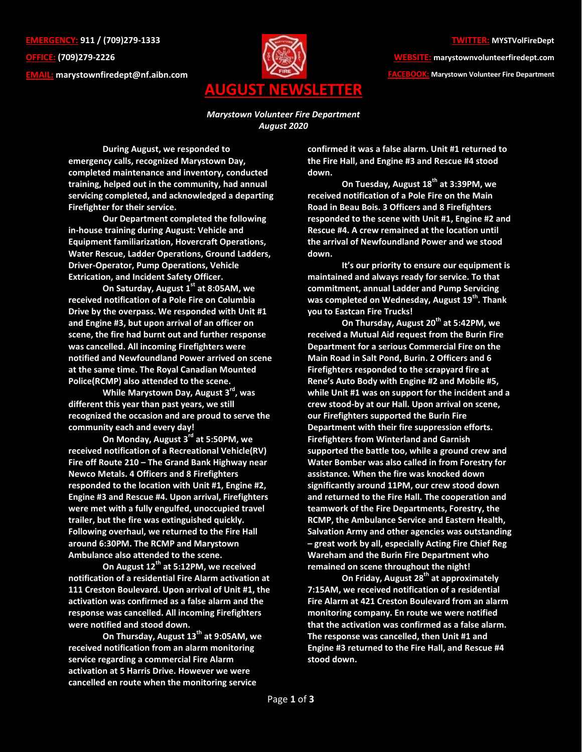**EMERGENCY: 911 / (709)279-1333 OFFICE: (709)279-2226 EMAIL: [marystownfiredept@nf.aibn.com](mailto:marystownfiredept@nf.aibn.com)**



**WEBSITE: marystownvolunteerfiredept.com FACEBOOK: Marystown Volunteer Fire Department**

*Marystown Volunteer Fire Department August 2020*

**During August, we responded to emergency calls, recognized Marystown Day, completed maintenance and inventory, conducted training, helped out in the community, had annual servicing completed, and acknowledged a departing Firefighter for their service.**

**Our Department completed the following in-house training during August: Vehicle and Equipment familiarization, Hovercraft Operations, Water Rescue, Ladder Operations, Ground Ladders, Driver-Operator, Pump Operations, Vehicle Extrication, and Incident Safety Officer.**

**On Saturday, August 1st at 8:05AM, we received notification of a Pole Fire on Columbia Drive by the overpass. We responded with Unit #1 and Engine #3, but upon arrival of an officer on scene, the fire had burnt out and further response was cancelled. All incoming Firefighters were notified and Newfoundland Power arrived on scene at the same time. The Royal Canadian Mounted Police(RCMP) also attended to the scene.**

**While Marystown Day, August 3rd , was different this year than past years, we still recognized the occasion and are proud to serve the community each and every day!**

**On Monday, August 3 rd at 5:50PM, we received notification of a Recreational Vehicle(RV) Fire off Route 210 – The Grand Bank Highway near Newco Metals. 4 Officers and 8 Firefighters responded to the location with Unit #1, Engine #2, Engine #3 and Rescue #4. Upon arrival, Firefighters were met with a fully engulfed, unoccupied travel trailer, but the fire was extinguished quickly. Following overhaul, we returned to the Fire Hall around 6:30PM. The RCMP and Marystown Ambulance also attended to the scene.**

**On August 12th at 5:12PM, we received notification of a residential Fire Alarm activation at 111 Creston Boulevard. Upon arrival of Unit #1, the activation was confirmed as a false alarm and the response was cancelled. All incoming Firefighters were notified and stood down.** 

**On Thursday, August 13th at 9:05AM, we received notification from an alarm monitoring service regarding a commercial Fire Alarm activation at 5 Harris Drive. However we were cancelled en route when the monitoring service** 

**confirmed it was a false alarm. Unit #1 returned to the Fire Hall, and Engine #3 and Rescue #4 stood down.** 

**On Tuesday, August 18th at 3:39PM, we received notification of a Pole Fire on the Main Road in Beau Bois. 3 Officers and 8 Firefighters responded to the scene with Unit #1, Engine #2 and Rescue #4. A crew remained at the location until the arrival of Newfoundland Power and we stood down.**

**It's our priority to ensure our equipment is maintained and always ready for service. To that commitment, annual Ladder and Pump Servicing was completed on Wednesday, August 19th. Thank you to Eastcan Fire Trucks!**

**On Thursday, August 20th at 5:42PM, we received a Mutual Aid request from the Burin Fire Department for a serious Commercial Fire on the Main Road in Salt Pond, Burin. 2 Officers and 6 Firefighters responded to the scrapyard fire at Rene's Auto Body with Engine #2 and Mobile #5, while Unit #1 was on support for the incident and a crew stood-by at our Hall. Upon arrival on scene, our Firefighters supported the Burin Fire Department with their fire suppression efforts. Firefighters from Winterland and Garnish supported the battle too, while a ground crew and Water Bomber was also called in from Forestry for assistance. When the fire was knocked down significantly around 11PM, our crew stood down and returned to the Fire Hall. The cooperation and teamwork of the Fire Departments, Forestry, the RCMP, the Ambulance Service and Eastern Health, Salvation Army and other agencies was outstanding – great work by all, especially Acting Fire Chief Reg Wareham and the Burin Fire Department who remained on scene throughout the night!**

**On Friday, August 28th at approximately 7:15AM, we received notification of a residential Fire Alarm at 421 Creston Boulevard from an alarm monitoring company. En route we were notified that the activation was confirmed as a false alarm. The response was cancelled, then Unit #1 and Engine #3 returned to the Fire Hall, and Rescue #4 stood down.**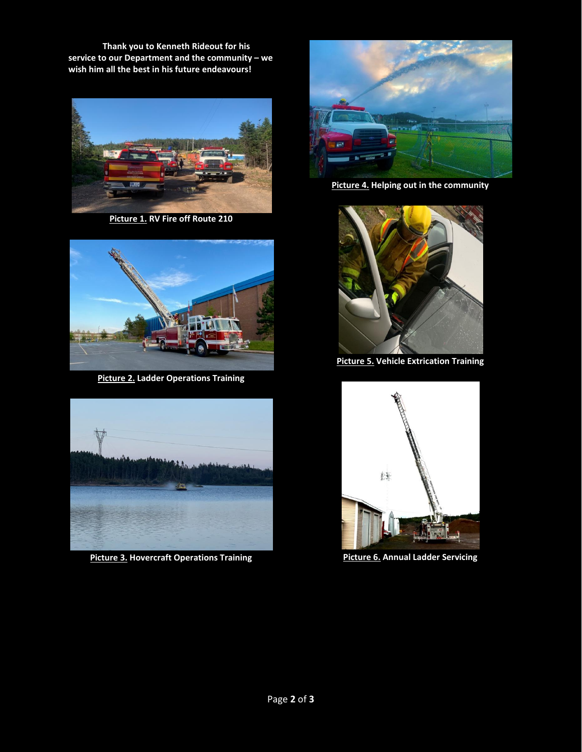**Thank you to Kenneth Rideout for his service to our Department and the community – we wish him all the best in his future endeavours!**



**Picture 1. RV Fire off Route 210**



**Picture 2. Ladder Operations Training**



**Picture 3. Hovercraft Operations Training**



**Picture 4. Helping out in the community**



**Picture 5. Vehicle Extrication Training**



**Picture 6. Annual Ladder Servicing**